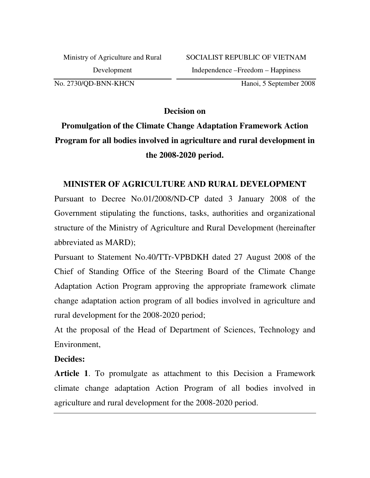No. 2730/QD-BNN-KHCN

Hanoi, 5 September 2008

**Decision on** 

# **Promulgation of the Climate Change Adaptation Framework Action Program for all bodies involved in agriculture and rural development in the 2008-2020 period.**

#### **MINISTER OF AGRICULTURE AND RURAL DEVELOPMENT**

Pursuant to Decree No.01/2008/ND-CP dated 3 January 2008 of the Government stipulating the functions, tasks, authorities and organizational structure of the Ministry of Agriculture and Rural Development (hereinafter abbreviated as MARD);

Pursuant to Statement No.40/TTr-VPBDKH dated 27 August 2008 of the Chief of Standing Office of the Steering Board of the Climate Change Adaptation Action Program approving the appropriate framework climate change adaptation action program of all bodies involved in agriculture and rural development for the 2008-2020 period;

At the proposal of the Head of Department of Sciences, Technology and Environment,

#### **Decides:**

**Article 1**. To promulgate as attachment to this Decision a Framework climate change adaptation Action Program of all bodies involved in agriculture and rural development for the 2008-2020 period.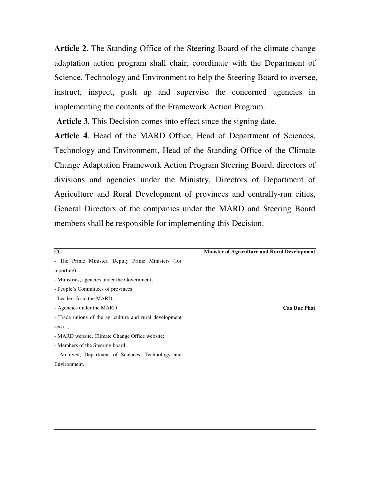**Article 2**. The Standing Office of the Steering Board of the climate change adaptation action program shall chair, coordinate with the Department of Science, Technology and Environment to help the Steering Board to oversee, instruct, inspect, push up and supervise the concerned agencies in implementing the contents of the Framework Action Program.

**Article 3**. This Decision comes into effect since the signing date.

**Article 4**. Head of the MARD Office, Head of Department of Sciences, Technology and Environment, Head of the Standing Office of the Climate Change Adaptation Framework Action Program Steering Board, directors of divisions and agencies under the Ministry, Directors of Department of Agriculture and Rural Development of provinces and centrally-run cities, General Directors of the companies under the MARD and Steering Board members shall be responsible for implementing this Decision.

| ł        |           |  |
|----------|-----------|--|
| . .<br>× | ۰.<br>___ |  |

#### **Minister of Agriculture and Rural Development**

- The Prime Minister, Deputy Prime Ministers (for reporting);
- Ministries, agencies under the Government;
- People's Committees of provinces;
- Leaders from the MARD;
- Agencies under the MARD;
- Trade unions of the agriculture and rural development sector;
- MARD website, Climate Change Office website;
- Members of the Steering board;
- Archived; Department of Sciences, Technology and Environment.

**Cao Duc Phat**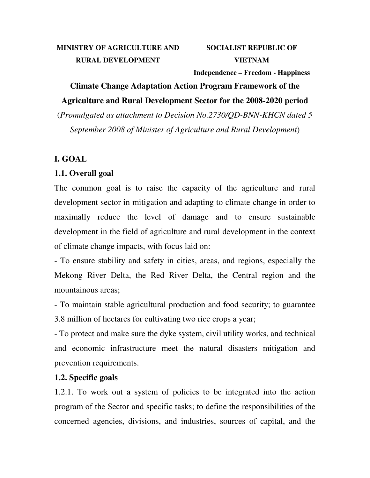## **MINISTRY OF AGRICULTURE AND RURAL DEVELOPMENT**

## **SOCIALIST REPUBLIC OF VIETNAM**

**Independence – Freedom - Happiness** 

# **Climate Change Adaptation Action Program Framework of the Agriculture and Rural Development Sector for the 2008-2020 period**

(*Promulgated as attachment to Decision No.2730/QD-BNN-KHCN dated 5 September 2008 of Minister of Agriculture and Rural Development*)

## **I. GOAL**

## **1.1. Overall goal**

The common goal is to raise the capacity of the agriculture and rural development sector in mitigation and adapting to climate change in order to maximally reduce the level of damage and to ensure sustainable development in the field of agriculture and rural development in the context of climate change impacts, with focus laid on:

- To ensure stability and safety in cities, areas, and regions, especially the Mekong River Delta, the Red River Delta, the Central region and the mountainous areas;

- To maintain stable agricultural production and food security; to guarantee 3.8 million of hectares for cultivating two rice crops a year;

- To protect and make sure the dyke system, civil utility works, and technical and economic infrastructure meet the natural disasters mitigation and prevention requirements.

## **1.2. Specific goals**

1.2.1. To work out a system of policies to be integrated into the action program of the Sector and specific tasks; to define the responsibilities of the concerned agencies, divisions, and industries, sources of capital, and the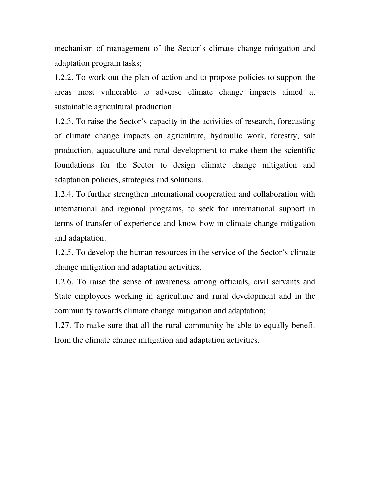mechanism of management of the Sector's climate change mitigation and adaptation program tasks;

1.2.2. To work out the plan of action and to propose policies to support the areas most vulnerable to adverse climate change impacts aimed at sustainable agricultural production.

1.2.3. To raise the Sector's capacity in the activities of research, forecasting of climate change impacts on agriculture, hydraulic work, forestry, salt production, aquaculture and rural development to make them the scientific foundations for the Sector to design climate change mitigation and adaptation policies, strategies and solutions.

1.2.4. To further strengthen international cooperation and collaboration with international and regional programs, to seek for international support in terms of transfer of experience and know-how in climate change mitigation and adaptation.

1.2.5. To develop the human resources in the service of the Sector's climate change mitigation and adaptation activities.

1.2.6. To raise the sense of awareness among officials, civil servants and State employees working in agriculture and rural development and in the community towards climate change mitigation and adaptation;

1.27. To make sure that all the rural community be able to equally benefit from the climate change mitigation and adaptation activities.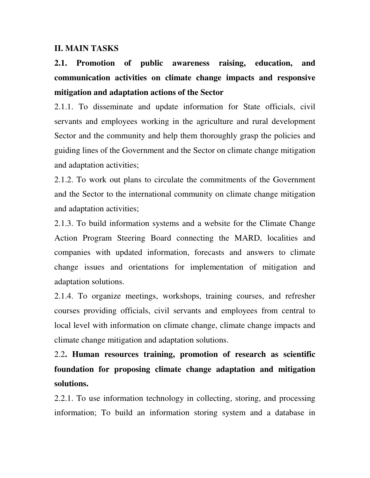#### **II. MAIN TASKS**

**2.1. Promotion of public awareness raising, education, and communication activities on climate change impacts and responsive mitigation and adaptation actions of the Sector** 

2.1.1. To disseminate and update information for State officials, civil servants and employees working in the agriculture and rural development Sector and the community and help them thoroughly grasp the policies and guiding lines of the Government and the Sector on climate change mitigation and adaptation activities;

2.1.2. To work out plans to circulate the commitments of the Government and the Sector to the international community on climate change mitigation and adaptation activities;

2.1.3. To build information systems and a website for the Climate Change Action Program Steering Board connecting the MARD, localities and companies with updated information, forecasts and answers to climate change issues and orientations for implementation of mitigation and adaptation solutions.

2.1.4. To organize meetings, workshops, training courses, and refresher courses providing officials, civil servants and employees from central to local level with information on climate change, climate change impacts and climate change mitigation and adaptation solutions.

2.2**. Human resources training, promotion of research as scientific foundation for proposing climate change adaptation and mitigation solutions.** 

2.2.1. To use information technology in collecting, storing, and processing information; To build an information storing system and a database in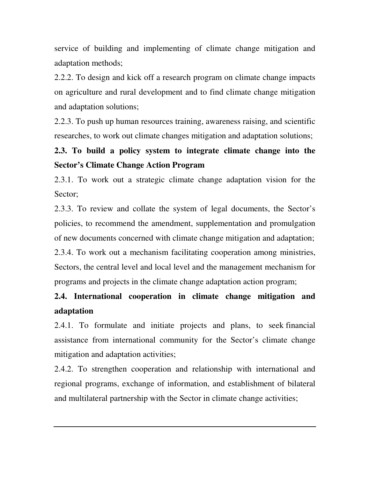service of building and implementing of climate change mitigation and adaptation methods;

2.2.2. To design and kick off a research program on climate change impacts on agriculture and rural development and to find climate change mitigation and adaptation solutions;

2.2.3. To push up human resources training, awareness raising, and scientific researches, to work out climate changes mitigation and adaptation solutions;

# **2.3. To build a policy system to integrate climate change into the Sector's Climate Change Action Program**

2.3.1. To work out a strategic climate change adaptation vision for the Sector;

2.3.3. To review and collate the system of legal documents, the Sector's policies, to recommend the amendment, supplementation and promulgation of new documents concerned with climate change mitigation and adaptation; 2.3.4. To work out a mechanism facilitating cooperation among ministries, Sectors, the central level and local level and the management mechanism for programs and projects in the climate change adaptation action program;

# **2.4. International cooperation in climate change mitigation and adaptation**

2.4.1. To formulate and initiate projects and plans, to seek financial assistance from international community for the Sector's climate change mitigation and adaptation activities;

2.4.2. To strengthen cooperation and relationship with international and regional programs, exchange of information, and establishment of bilateral and multilateral partnership with the Sector in climate change activities;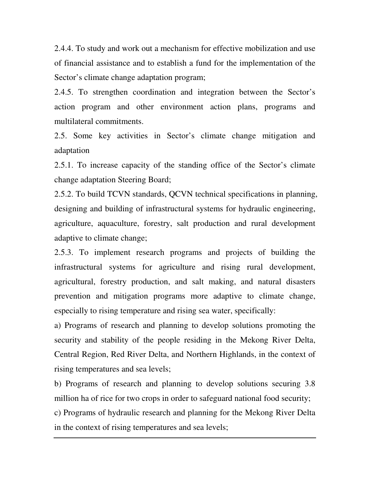2.4.4. To study and work out a mechanism for effective mobilization and use of financial assistance and to establish a fund for the implementation of the Sector's climate change adaptation program;

2.4.5. To strengthen coordination and integration between the Sector's action program and other environment action plans, programs and multilateral commitments.

2.5. Some key activities in Sector's climate change mitigation and adaptation

2.5.1. To increase capacity of the standing office of the Sector's climate change adaptation Steering Board;

2.5.2. To build TCVN standards, QCVN technical specifications in planning, designing and building of infrastructural systems for hydraulic engineering, agriculture, aquaculture, forestry, salt production and rural development adaptive to climate change;

2.5.3. To implement research programs and projects of building the infrastructural systems for agriculture and rising rural development, agricultural, forestry production, and salt making, and natural disasters prevention and mitigation programs more adaptive to climate change, especially to rising temperature and rising sea water, specifically:

a) Programs of research and planning to develop solutions promoting the security and stability of the people residing in the Mekong River Delta, Central Region, Red River Delta, and Northern Highlands, in the context of rising temperatures and sea levels;

b) Programs of research and planning to develop solutions securing 3.8 million ha of rice for two crops in order to safeguard national food security;

c) Programs of hydraulic research and planning for the Mekong River Delta in the context of rising temperatures and sea levels;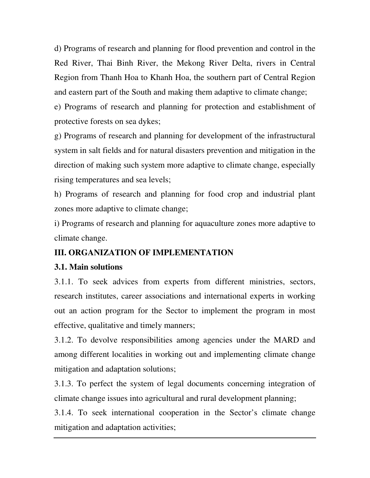d) Programs of research and planning for flood prevention and control in the Red River, Thai Binh River, the Mekong River Delta, rivers in Central Region from Thanh Hoa to Khanh Hoa, the southern part of Central Region and eastern part of the South and making them adaptive to climate change;

e) Programs of research and planning for protection and establishment of protective forests on sea dykes;

g) Programs of research and planning for development of the infrastructural system in salt fields and for natural disasters prevention and mitigation in the direction of making such system more adaptive to climate change, especially rising temperatures and sea levels;

h) Programs of research and planning for food crop and industrial plant zones more adaptive to climate change;

i) Programs of research and planning for aquaculture zones more adaptive to climate change.

## **III. ORGANIZATION OF IMPLEMENTATION**

#### **3.1. Main solutions**

3.1.1. To seek advices from experts from different ministries, sectors, research institutes, career associations and international experts in working out an action program for the Sector to implement the program in most effective, qualitative and timely manners;

3.1.2. To devolve responsibilities among agencies under the MARD and among different localities in working out and implementing climate change mitigation and adaptation solutions;

3.1.3. To perfect the system of legal documents concerning integration of climate change issues into agricultural and rural development planning;

3.1.4. To seek international cooperation in the Sector's climate change mitigation and adaptation activities;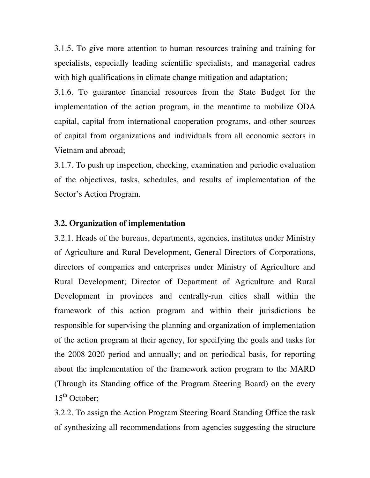3.1.5. To give more attention to human resources training and training for specialists, especially leading scientific specialists, and managerial cadres with high qualifications in climate change mitigation and adaptation;

3.1.6. To guarantee financial resources from the State Budget for the implementation of the action program, in the meantime to mobilize ODA capital, capital from international cooperation programs, and other sources of capital from organizations and individuals from all economic sectors in Vietnam and abroad;

3.1.7. To push up inspection, checking, examination and periodic evaluation of the objectives, tasks, schedules, and results of implementation of the Sector's Action Program.

#### **3.2. Organization of implementation**

3.2.1. Heads of the bureaus, departments, agencies, institutes under Ministry of Agriculture and Rural Development, General Directors of Corporations, directors of companies and enterprises under Ministry of Agriculture and Rural Development; Director of Department of Agriculture and Rural Development in provinces and centrally-run cities shall within the framework of this action program and within their jurisdictions be responsible for supervising the planning and organization of implementation of the action program at their agency, for specifying the goals and tasks for the 2008-2020 period and annually; and on periodical basis, for reporting about the implementation of the framework action program to the MARD (Through its Standing office of the Program Steering Board) on the every  $15<sup>th</sup>$  October:

3.2.2. To assign the Action Program Steering Board Standing Office the task of synthesizing all recommendations from agencies suggesting the structure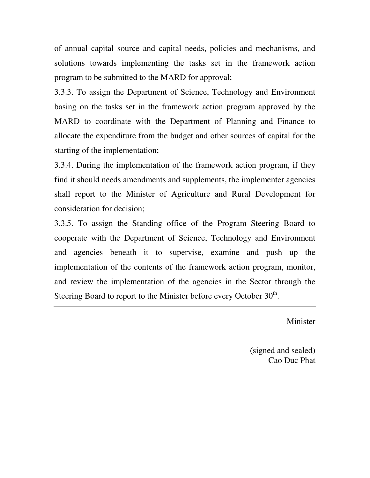of annual capital source and capital needs, policies and mechanisms, and solutions towards implementing the tasks set in the framework action program to be submitted to the MARD for approval;

3.3.3. To assign the Department of Science, Technology and Environment basing on the tasks set in the framework action program approved by the MARD to coordinate with the Department of Planning and Finance to allocate the expenditure from the budget and other sources of capital for the starting of the implementation;

3.3.4. During the implementation of the framework action program, if they find it should needs amendments and supplements, the implementer agencies shall report to the Minister of Agriculture and Rural Development for consideration for decision;

3.3.5. To assign the Standing office of the Program Steering Board to cooperate with the Department of Science, Technology and Environment and agencies beneath it to supervise, examine and push up the implementation of the contents of the framework action program, monitor, and review the implementation of the agencies in the Sector through the Steering Board to report to the Minister before every October  $30<sup>th</sup>$ .

Minister

(signed and sealed) Cao Duc Phat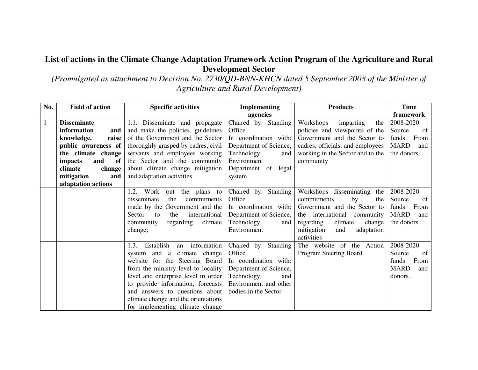#### **List of actions in the Climate Change Adaptation Framework Action Program of the Agriculture and RuralDevelopment Sector**

 *(Promulgated as attachment to Decision No. 2730/QD-BNN-KHCN dated 5 September 2008 of the Minister of Agriculture and Rural Development)* 

| No.          | <b>Field of action</b> | <b>Specific activities</b>           | <b>Implementing</b>    | <b>Products</b>                  | <b>Time</b>        |
|--------------|------------------------|--------------------------------------|------------------------|----------------------------------|--------------------|
|              |                        |                                      | agencies               |                                  | framework          |
| $\mathbf{1}$ | <b>Disseminate</b>     | 1.1. Disseminate and propagate       | Chaired by: Standing   | Workshops<br>the<br>imparting    | 2008-2020          |
|              | information<br>and     | and make the policies, guidelines    | Office                 | policies and viewpoints of the   | Source<br>of       |
|              | knowledge,<br>raise    | of the Government and the Sector     | In coordination with:  | Government and the Sector to     | From<br>funds:     |
|              | public awareness of    | thoroughly grasped by cadres, civil  | Department of Science, | cadres, officials, and employees | MARD<br>and        |
|              | the climate change     | servants and employees working       | Technology<br>and      | working in the Sector and to the | the donors.        |
|              | impacts<br>and<br>of   | the Sector and the community         | Environment            | community                        |                    |
|              | climate<br>change      | about climate change mitigation      | Department of legal    |                                  |                    |
|              | mitigation<br>and      | and adaptation activities.           | system                 |                                  |                    |
|              | adaptation actions     |                                      |                        |                                  |                    |
|              |                        | 1.2. Work<br>the plans to<br>out     | Chaired by: Standing   | Workshops disseminating the      | 2008-2020          |
|              |                        | disseminate<br>commitments<br>the    | Office                 | commitments<br>the<br>by         | Source<br>of       |
|              |                        | made by the Government and the       | In coordination with:  | Government and the Sector to     | From<br>funds:     |
|              |                        | international<br>Sector<br>the<br>to | Department of Science, | the international community      | <b>MARD</b><br>and |
|              |                        | climate<br>regarding<br>community    | Technology<br>and      | climate<br>regarding<br>change   | the donors         |
|              |                        | change;                              | Environment            | mitigation<br>adaptation<br>and  |                    |
|              |                        |                                      |                        | activities                       |                    |
|              |                        | an information<br>Establish<br>1.3.  | Chaired by: Standing   | The website of the Action        | 2008-2020          |
|              |                        | system and a climate change          | Office                 | Program Steering Board           | Source<br>of       |
|              |                        | website for the Steering Board       | In coordination with:  |                                  | funds:<br>From     |
|              |                        | from the ministry level to locality  | Department of Science, |                                  | <b>MARD</b><br>and |
|              |                        | level and enterprise level in order  | Technology<br>and      |                                  | donors.            |
|              |                        | to provide information, forecasts    | Environment and other  |                                  |                    |
|              |                        | and answers to questions about       | bodies in the Sector   |                                  |                    |
|              |                        | climate change and the orientations  |                        |                                  |                    |
|              |                        | for implementing climate change      |                        |                                  |                    |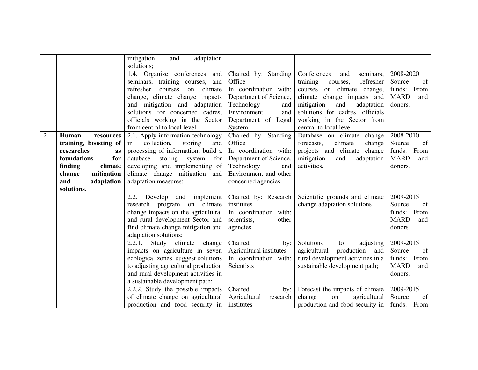|              |                                                                                                                                                                        | mitigation<br>adaptation<br>and<br>solutions;                                                                                                                                                                                                                                     |                                                                                                                                                                |                                                                                                                                                                                                                                                                   |                                                                              |
|--------------|------------------------------------------------------------------------------------------------------------------------------------------------------------------------|-----------------------------------------------------------------------------------------------------------------------------------------------------------------------------------------------------------------------------------------------------------------------------------|----------------------------------------------------------------------------------------------------------------------------------------------------------------|-------------------------------------------------------------------------------------------------------------------------------------------------------------------------------------------------------------------------------------------------------------------|------------------------------------------------------------------------------|
|              |                                                                                                                                                                        | 1.4. Organize conferences and<br>seminars, training courses, and<br>refresher<br>courses<br>climate<br>on<br>change, climate change impacts<br>and mitigation and adaptation<br>solutions for concerned cadres,<br>officials working in the Sector<br>from central to local level | Chaired by: Standing<br>Office<br>In coordination with:<br>Department of Science,<br>Technology<br>and<br>Environment<br>and<br>Department of Legal<br>System. | Conferences<br>seminars,<br>and<br>training<br>refresher<br>courses,<br>on climate change,<br>courses<br>climate change impacts and<br>mitigation<br>and<br>adaptation<br>solutions for cadres, officials<br>working in the Sector from<br>central to local level | 2008-2020<br>Source<br>of<br>funds:<br>From<br><b>MARD</b><br>and<br>donors. |
| $\mathbf{2}$ | Human<br>resources<br>training, boosting of<br>researches<br>as<br>foundations<br>for<br>finding<br>climate<br>change<br>mitigation<br>and<br>adaptation<br>solutions. | 2.1. Apply information technology<br>collection,<br>storing<br>and<br>in<br>processing of information; build a<br>database<br>storing system<br>for<br>developing and implementing of<br>climate change mitigation and<br>adaptation measures;                                    | Chaired by: Standing<br>Office<br>In coordination with:<br>Department of Science,<br>Technology<br>and<br>Environment and other<br>concerned agencies.         | Database on climate change<br>forecasts,<br>climate<br>change<br>projects and climate change<br>mitigation<br>adaptation<br>and<br>activities.                                                                                                                    | 2008-2010<br>Source<br>of<br>funds:<br>From<br><b>MARD</b><br>and<br>donors. |
|              |                                                                                                                                                                        | 2.2.<br>Develop<br>implement<br>and<br>climate<br>research<br>program<br>on<br>change impacts on the agricultural<br>and rural development Sector and<br>find climate change mitigation and<br>adaptation solutions;                                                              | Chaired by: Research<br>institutes<br>In coordination with:<br>scientists,<br>other<br>agencies                                                                | Scientific grounds and climate<br>change adaptation solutions                                                                                                                                                                                                     | 2009-2015<br>Source<br>of<br>funds:<br>From<br><b>MARD</b><br>and<br>donors. |
|              |                                                                                                                                                                        | $\overline{2.2.1}$ . Study climate<br>change<br>impacts on agriculture in seven<br>ecological zones, suggest solutions<br>to adjusting agricultural production<br>and rural development activities in<br>a sustainable development path;                                          | Chaired<br>by:<br>Agricultural institutes<br>In coordination with:<br>Scientists                                                                               | Solutions<br>adjusting<br>to<br>agricultural<br>production<br>and<br>rural development activities in a<br>sustainable development path;                                                                                                                           | 2009-2015<br>Source<br>of<br>funds:<br>From<br><b>MARD</b><br>and<br>donors. |
|              |                                                                                                                                                                        | 2.2.2. Study the possible impacts<br>of climate change on agricultural<br>production and food security in                                                                                                                                                                         | Chaired<br>by:<br>Agricultural<br>research<br>institutes                                                                                                       | Forecast the impacts of climate<br>change<br>on<br>agricultural<br>production and food security in                                                                                                                                                                | 2009-2015<br>Source<br>of<br>funds: From                                     |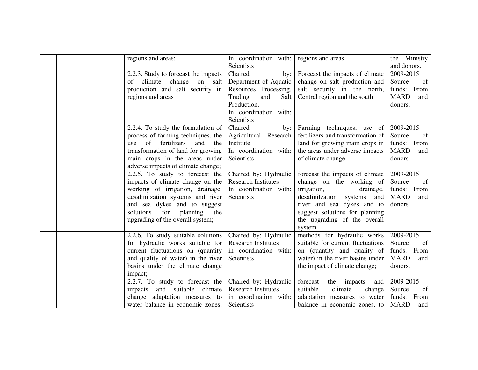|  | regions and areas;                                                                                                                                                                                                                                      | In coordination with:<br>Scientists                                                                                                              | regions and areas                                                                                                                                                                                                                      | the Ministry<br>and donors.                                               |
|--|---------------------------------------------------------------------------------------------------------------------------------------------------------------------------------------------------------------------------------------------------------|--------------------------------------------------------------------------------------------------------------------------------------------------|----------------------------------------------------------------------------------------------------------------------------------------------------------------------------------------------------------------------------------------|---------------------------------------------------------------------------|
|  | 2.2.3. Study to forecast the impacts<br>climate<br>change<br>of<br>on<br>salt<br>production and salt security in<br>regions and areas                                                                                                                   | Chaired<br>by:<br>Department of Aquatic<br>Resources Processing,<br>Trading<br>Salt<br>and<br>Production.<br>In coordination with:<br>Scientists | Forecast the impacts of climate<br>change on salt production and<br>salt security in the north,<br>Central region and the south                                                                                                        | 2009-2015<br>Source<br>of<br>funds: From<br><b>MARD</b><br>and<br>donors. |
|  | 2.2.4. To study the formulation of<br>process of farming techniques, the<br>of<br>fertilizers<br>and<br>the<br>use<br>transformation of land for growing<br>main crops in the areas under<br>adverse impacts of climate change;                         | Chaired<br>by:<br>Agricultural Research<br>Institute<br>In coordination with:<br>Scientists                                                      | Farming techniques, use of<br>fertilizers and transformation of<br>land for growing main crops in<br>the areas under adverse impacts<br>of climate change                                                                              | 2009-2015<br>Source<br>of<br>funds: From<br><b>MARD</b><br>and<br>donors. |
|  | 2.2.5. To study to forecast the<br>impacts of climate change on the<br>working of irrigation, drainage,<br>desalinilzation systems and river<br>and sea dykes and to suggest<br>solutions<br>for<br>planning<br>the<br>upgrading of the overall system; | Chaired by: Hydraulic<br><b>Research Institutes</b><br>In coordination with:<br>Scientists                                                       | forecast the impacts of climate<br>change on the working of<br>irrigation,<br>drainage,<br>desalinilzation<br>systems<br>and<br>river and sea dykes and to<br>suggest solutions for planning<br>the upgrading of the overall<br>system | 2009-2015<br>Source<br>of<br>funds: From<br><b>MARD</b><br>and<br>donors. |
|  | 2.2.6. To study suitable solutions<br>for hydraulic works suitable for<br>current fluctuations on (quantity<br>and quality of water) in the river<br>basins under the climate change<br>impact;                                                         | Chaired by: Hydraulic<br><b>Research Institutes</b><br>in coordination with:<br><b>Scientists</b>                                                | methods for hydraulic works<br>suitable for current fluctuations<br>on (quantity and quality of<br>water) in the river basins under<br>the impact of climate change;                                                                   | 2009-2015<br>Source<br>of<br>funds: From<br><b>MARD</b><br>and<br>donors. |
|  | 2.2.7. To study to forecast the<br>and suitable<br>climate<br>impacts<br>change adaptation measures to<br>water balance in economic zones,                                                                                                              | Chaired by: Hydraulic<br><b>Research Institutes</b><br>in coordination with:<br>Scientists                                                       | forecast<br>the<br>impacts<br>and<br>suitable<br>climate<br>change<br>adaptation measures to water<br>balance in economic zones, to                                                                                                    | 2009-2015<br>Source<br>of<br>funds: From<br><b>MARD</b><br>and            |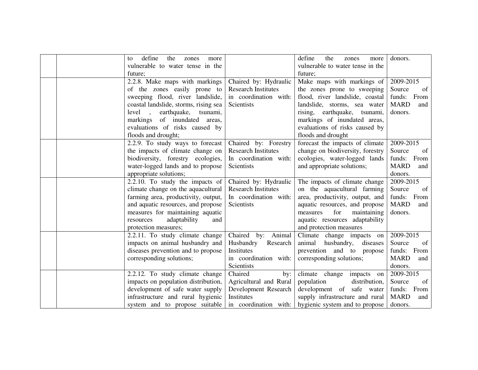|  | define<br>the<br>zones<br>more<br>to<br>vulnerable to water tense in the<br>future;                                                                                                                                                                                       |                                                                                                         | define<br>the<br>zones<br>more<br>vulnerable to water tense in the<br>future;                                                                                                                                                                        | donors.                                                                   |
|--|---------------------------------------------------------------------------------------------------------------------------------------------------------------------------------------------------------------------------------------------------------------------------|---------------------------------------------------------------------------------------------------------|------------------------------------------------------------------------------------------------------------------------------------------------------------------------------------------------------------------------------------------------------|---------------------------------------------------------------------------|
|  | 2.2.8. Make maps with markings<br>of the zones easily prone to<br>sweeping flood, river landslide,<br>coastal landslide, storms, rising sea<br>earthquake,<br>tsunami,<br>level,<br>markings of inundated areas,<br>evaluations of risks caused by<br>floods and drought; | Chaired by: Hydraulic<br><b>Research Institutes</b><br>in coordination with:<br>Scientists              | Make maps with markings of<br>the zones prone to sweeping<br>flood, river landslide, coastal<br>landslide, storms, sea water<br>rising, earthquake, tsunami,<br>markings of inundated areas,<br>evaluations of risks caused by<br>floods and drought | 2009-2015<br>Source<br>of<br>funds: From<br><b>MARD</b><br>and<br>donors. |
|  | 2.2.9. To study ways to forecast<br>the impacts of climate change on<br>biodiversity, forestry ecologies,<br>water-logged lands and to propose<br>appropriate solutions;                                                                                                  | Chaired by: Forestry<br><b>Research Institutes</b><br>In coordination with:<br><b>Scientists</b>        | forecast the impacts of climate<br>change on biodiversity, forestry<br>ecologies, water-logged lands<br>and appropriate solutions;                                                                                                                   | 2009-2015<br>Source<br>of<br>funds: From<br><b>MARD</b><br>and<br>donors. |
|  | 2.2.10. To study the impacts of<br>climate change on the aquacultural<br>farming area, productivity, output,<br>and aquatic resources, and propose<br>measures for maintaining aquatic<br>adaptability<br>resources<br>and<br>protection measures;                        | Chaired by: Hydraulic<br><b>Research Institutes</b><br>In coordination with:<br>Scientists              | The impacts of climate change<br>on the aquacultural farming<br>area, productivity, output, and<br>aquatic resources, and propose<br>maintaining<br>measures<br>for<br>aquatic resources adaptability<br>and protection measures                     | 2009-2015<br>Source<br>of<br>funds: From<br><b>MARD</b><br>and<br>donors. |
|  | 2.2.11. To study climate change<br>impacts on animal husbandry and<br>diseases prevention and to propose<br>corresponding solutions;                                                                                                                                      | Chaired by: Animal<br>Husbandry<br>Research<br>Institutes<br>in coordination with:<br>Scientists        | Climate change impacts on<br>animal<br>husbandry, diseases<br>prevention and to propose<br>corresponding solutions;                                                                                                                                  | 2009-2015<br>Source<br>of<br>funds: From<br><b>MARD</b><br>and<br>donors. |
|  | 2.2.12. To study climate change<br>impacts on population distribution,<br>development of safe water supply<br>infrastructure and rural hygienic<br>system and to propose suitable                                                                                         | Chaired<br>by:<br>Agricultural and Rural<br>Development Research<br>Institutes<br>in coordination with: | climate change impacts on<br>population<br>distribution,<br>development of safe water<br>supply infrastructure and rural<br>hygienic system and to propose                                                                                           | 2009-2015<br>Source<br>of<br>funds: From<br><b>MARD</b><br>and<br>donors. |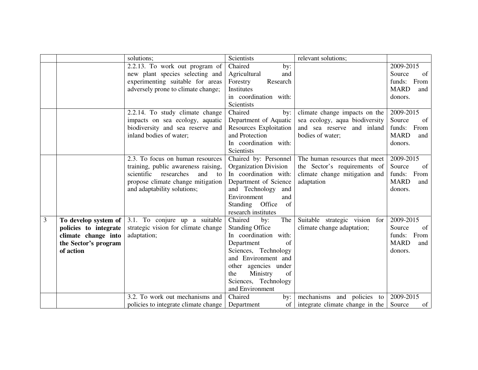|   |                       | solutions;                                     | Scientists             | relevant solutions;             |                    |
|---|-----------------------|------------------------------------------------|------------------------|---------------------------------|--------------------|
|   |                       | 2.2.13. To work out program of                 | Chaired<br>by:         |                                 | 2009-2015          |
|   |                       | new plant species selecting and                | Agricultural<br>and    |                                 | of<br>Source       |
|   |                       | experimenting suitable for areas               | Research<br>Forestry   |                                 | funds: From        |
|   |                       | adversely prone to climate change;             | Institutes             |                                 | <b>MARD</b><br>and |
|   |                       |                                                | in coordination with:  |                                 | donors.            |
|   |                       |                                                | Scientists             |                                 |                    |
|   |                       | 2.2.14. To study climate change                | Chaired<br>by:         | climate change impacts on the   | 2009-2015          |
|   |                       | impacts on sea ecology, aquatic                | Department of Aquatic  | sea ecology, aqua biodiversity  | Source<br>of       |
|   |                       | biodiversity and sea reserve and               | Resources Exploitation | and sea reserve and inland      | funds: From        |
|   |                       | inland bodies of water;                        | and Protection         | bodies of water;                | <b>MARD</b><br>and |
|   |                       |                                                | In coordination with:  |                                 | donors.            |
|   |                       |                                                | Scientists             |                                 |                    |
|   |                       | 2.3. To focus on human resources               | Chaired by: Personnel  | The human resources that meet   | 2009-2015          |
|   |                       | training, public awareness raising,            | Organization Division  | the Sector's requirements of    | Source<br>of       |
|   |                       | scientific researches<br>and<br>$\overline{t}$ | In coordination with:  | climate change mitigation and   | funds: From        |
|   |                       | propose climate change mitigation              | Department of Science  | adaptation                      | <b>MARD</b><br>and |
|   |                       | and adaptability solutions;                    | and Technology<br>and  |                                 | donors.            |
|   |                       |                                                | Environment<br>and     |                                 |                    |
|   |                       |                                                | Standing Office<br>of  |                                 |                    |
|   |                       |                                                | research institutes    |                                 |                    |
| 3 | To develop system of  | 3.1. To conjure up a suitable                  | Chaired<br>The<br>by:  | Suitable strategic vision for   | 2009-2015          |
|   | policies to integrate | strategic vision for climate change            | <b>Standing Office</b> | climate change adaptation;      | Source<br>of       |
|   | climate change into   | adaptation;                                    | In coordination with:  |                                 | funds: From        |
|   | the Sector's program  |                                                | Department<br>of       |                                 | <b>MARD</b><br>and |
|   | of action             |                                                | Sciences, Technology   |                                 | donors.            |
|   |                       |                                                | and Environment and    |                                 |                    |
|   |                       |                                                | other agencies under   |                                 |                    |
|   |                       |                                                | Ministry<br>the<br>of  |                                 |                    |
|   |                       |                                                | Sciences, Technology   |                                 |                    |
|   |                       |                                                | and Environment        |                                 |                    |
|   |                       | 3.2. To work out mechanisms and                | Chaired<br>by:         | mechanisms and policies to      | 2009-2015          |
|   |                       | policies to integrate climate change           | Department<br>of       | integrate climate change in the | Source<br>of       |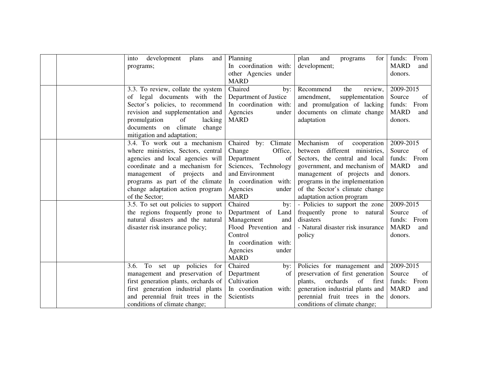|  | development<br>plans<br>and<br>into  | Planning              | plan<br>and<br>programs<br>for     | funds: From        |
|--|--------------------------------------|-----------------------|------------------------------------|--------------------|
|  | programs;                            | In coordination with: | development;                       | <b>MARD</b><br>and |
|  |                                      | other Agencies under  |                                    | donors.            |
|  |                                      | <b>MARD</b>           |                                    |                    |
|  | 3.3. To review, collate the system   | Chaired<br>by:        | Recommend<br>the<br>review,        | 2009-2015          |
|  | of legal documents with the          | Department of Justice | supplementation<br>amendment,      | of<br>Source       |
|  | Sector's policies, to recommend      | In coordination with: | and promulgation of lacking        | funds: From        |
|  | revision and supplementation and     | Agencies<br>under     | documents on climate change        | <b>MARD</b><br>and |
|  | promulgation<br>of<br>lacking        | <b>MARD</b>           | adaptation                         | donors.            |
|  | documents on climate<br>change       |                       |                                    |                    |
|  | mitigation and adaptation;           |                       |                                    |                    |
|  | 3.4. To work out a mechanism         | Chaired by: Climate   | Mechanism<br>of<br>cooperation     | 2009-2015          |
|  | where ministries, Sectors, central   | Change<br>Office,     | between different ministries,      | Source<br>of       |
|  | agencies and local agencies will     | Department<br>of      | Sectors, the central and local     | funds: From        |
|  | coordinate and a mechanism for       | Sciences, Technology  | government, and mechanism of       | <b>MARD</b><br>and |
|  | management of<br>projects<br>and     | and Environment       | management of projects and         | donors.            |
|  | programs as part of the climate      | In coordination with: | programs in the implementation     |                    |
|  | change adaptation action program     | Agencies<br>under     | of the Sector's climate change     |                    |
|  | of the Sector;                       | <b>MARD</b>           | adaptation action program          |                    |
|  | 3.5. To set out policies to support  | Chaired<br>by:        | - Policies to support the zone     | 2009-2015          |
|  | the regions frequently prone to      | Department of Land    | frequently prone to natural        | Source<br>of       |
|  | natural disasters and the natural    | Management<br>and     | disasters                          | funds: From        |
|  | disaster risk insurance policy;      | Flood Prevention and  | - Natural disaster risk insurance  | <b>MARD</b><br>and |
|  |                                      | Control               | policy                             | donors.            |
|  |                                      | In coordination with: |                                    |                    |
|  |                                      | Agencies<br>under     |                                    |                    |
|  |                                      | <b>MARD</b>           |                                    |                    |
|  | 3.6. To set up policies<br>for       | Chaired<br>by:        | Policies for management and        | 2009-2015          |
|  | management and preservation of       | Department<br>of      | preservation of first generation   | Source<br>of       |
|  | first generation plants, orchards of | Cultivation           | orchards<br>of<br>plants,<br>first | funds: From        |
|  | first generation industrial plants   | In coordination with: | generation industrial plants and   | <b>MARD</b><br>and |
|  | and perennial fruit trees in the     | Scientists            | perennial fruit trees in the       | donors.            |
|  | conditions of climate change;        |                       | conditions of climate change;      |                    |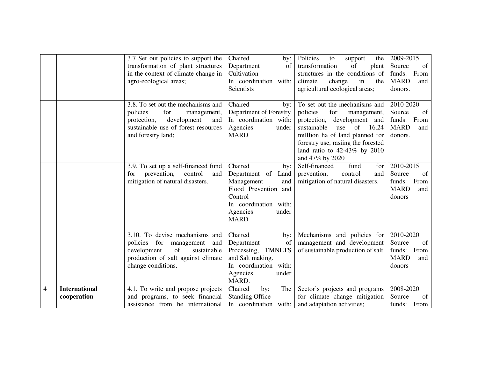|   |                                     | 3.7 Set out policies to support the<br>transformation of plant structures<br>in the context of climate change in<br>agro-ecological areas;                             | Chaired<br>by:<br>Department<br>of<br>Cultivation<br>In coordination with:<br>Scientists                                                                  | Policies<br>to<br>support<br>the<br>transformation<br>of<br>plant<br>structures in the conditions of<br>climate<br>change<br>in<br>the<br>agricultural ecological areas;                                                                                          | 2009-2015<br>of<br>Source<br>funds:<br>From<br><b>MARD</b><br>and<br>donors. |
|---|-------------------------------------|------------------------------------------------------------------------------------------------------------------------------------------------------------------------|-----------------------------------------------------------------------------------------------------------------------------------------------------------|-------------------------------------------------------------------------------------------------------------------------------------------------------------------------------------------------------------------------------------------------------------------|------------------------------------------------------------------------------|
|   |                                     | 3.8. To set out the mechanisms and<br>for<br>policies<br>management,<br>protection,<br>development<br>and<br>sustainable use of forest resources<br>and forestry land; | Chaired<br>by:<br>Department of Forestry<br>In coordination with:<br>Agencies<br>under<br><b>MARD</b>                                                     | To set out the mechanisms and<br>policies<br>for<br>management,<br>protection, development and<br>sustainable<br>of<br>16.24<br>use<br>million ha of land planned for<br>forestry use, rasiing the forested<br>land ratio to $42-43\%$ by 2010<br>and 47% by 2020 | 2010-2020<br>Source<br>of<br>funds:<br>From<br><b>MARD</b><br>and<br>donors. |
|   |                                     | 3.9. To set up a self-financed fund<br>prevention,<br>control<br>for<br>and<br>mitigation of natural disasters.                                                        | Chaired<br>by:<br>Department of Land<br>Management<br>and<br>Flood Prevention and<br>Control<br>In coordination with:<br>Agencies<br>under<br><b>MARD</b> | Self-financed<br>for<br>fund<br>prevention,<br>control<br>and<br>mitigation of natural disasters.                                                                                                                                                                 | 2010-2015<br>Source<br>of<br>From<br>funds:<br><b>MARD</b><br>and<br>donors  |
|   |                                     | 3.10. To devise mechanisms and<br>policies for<br>management<br>and<br>of<br>development<br>sustainable<br>production of salt against climate<br>change conditions.    | Chaired<br>by:<br>Department<br>of<br><b>TMNLTS</b><br>Processing,<br>and Salt making.<br>In coordination with:<br>Agencies<br>under<br>MARD.             | Mechanisms and policies for<br>management and development<br>of sustainable production of salt                                                                                                                                                                    | 2010-2020<br>Source<br>of<br>From<br>funds:<br><b>MARD</b><br>and<br>donors  |
| 4 | <b>International</b><br>cooperation | 4.1. To write and propose projects<br>and programs, to seek financial<br>assistance from he international                                                              | Chaired<br>The<br>by:<br><b>Standing Office</b><br>In coordination with:                                                                                  | Sector's projects and programs<br>for climate change mitigation<br>and adaptation activities;                                                                                                                                                                     | 2008-2020<br>Source<br>of<br>funds: From                                     |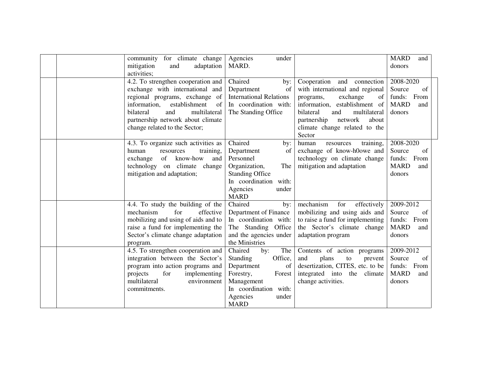|  | community for climate change<br>mitigation<br>adaptation<br>and<br>activities;                                                                                                                                                                           | Agencies<br>under<br>MARD.                                                                                                                                                |                                                                                                                                                                                                                                                    | <b>MARD</b><br>and<br>donors                                                |
|--|----------------------------------------------------------------------------------------------------------------------------------------------------------------------------------------------------------------------------------------------------------|---------------------------------------------------------------------------------------------------------------------------------------------------------------------------|----------------------------------------------------------------------------------------------------------------------------------------------------------------------------------------------------------------------------------------------------|-----------------------------------------------------------------------------|
|  | 4.2. To strengthen cooperation and<br>exchange with international and<br>regional programs, exchange of<br>information,<br>establishment<br>of<br>bilateral<br>multilateral<br>and<br>partnership network about climate<br>change related to the Sector; | Chaired<br>by:<br>Department<br>of<br><b>International Relations</b><br>In coordination with:<br>The Standing Office                                                      | Cooperation and<br>connection<br>with international and regional<br>exchange<br>of<br>programs,<br>information, establishment of<br>bilateral<br>and<br>multilateral<br>partnership<br>network<br>about<br>climate change related to the<br>Sector | 2008-2020<br>Source<br>of<br>funds: From<br><b>MARD</b><br>and<br>donors    |
|  | 4.3. To organize such activities as<br>human<br>training,<br>resources<br>know-how<br>of<br>exchange<br>and<br>technology on climate change<br>mitigation and adaptation;                                                                                | Chaired<br>by:<br>of<br>Department<br>Personnel<br>The<br>Organization,<br><b>Standing Office</b><br>In coordination with:<br>Agencies<br>under<br><b>MARD</b>            | training,<br>human<br>resources<br>exchange of know-h0owe and<br>technology on climate change<br>mitigation and adaptation                                                                                                                         | 2008-2020<br>Source<br>of<br>funds: From<br><b>MARD</b><br>and<br>donors    |
|  | 4.4. To study the building of the<br>mechanism<br>for<br>effective<br>mobilizing and using of aids and to<br>raise a fund for implementing the<br>Sector's climate change adaptation<br>program.                                                         | Chaired<br>by:<br>Department of Finance<br>In coordination with:<br>The Standing Office<br>and the agencies under<br>the Ministries                                       | mechanism<br>for<br>effectively<br>mobilizing and using aids and<br>to raise a fund for implementing<br>the Sector's climate change<br>adaptation program                                                                                          | 2009-2012<br>Source<br>of<br>funds: From<br><b>MARD</b><br>and<br>donors    |
|  | 4.5. To strengthen cooperation and<br>integration between the Sector's<br>program into action programs and<br>for<br>implementing<br>projects<br>multilateral<br>environment<br>commitments.                                                             | Chaired<br>The<br>by:<br>Office,<br><b>Standing</b><br>Department<br>of<br>Forestry,<br>Forest<br>Management<br>In coordination with:<br>Agencies<br>under<br><b>MARD</b> | Contents of action programs<br>and<br>plans<br>${\rm to}$<br>prevent<br>desertization, CITES, etc. to be<br>integrated into the climate<br>change activities.                                                                                      | 2009-2012<br>Source<br>of<br>funds:<br>From<br><b>MARD</b><br>and<br>donors |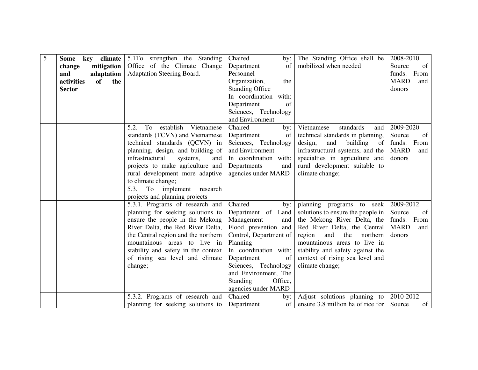| 5 | <b>Some</b><br>climate<br>key  | 5.1To strengthen the Standing                | Chaired<br>by:             | The Standing Office shall be                | 2008-2010          |
|---|--------------------------------|----------------------------------------------|----------------------------|---------------------------------------------|--------------------|
|   | mitigation<br>change           | Office of the Climate Change                 | Department<br>of           | mobilized when needed                       | Source<br>of       |
|   | and<br>adaptation              | Adaptation Steering Board.                   | Personnel                  |                                             | From<br>funds:     |
|   | activities<br><b>of</b><br>the |                                              | Organization,<br>the       |                                             | <b>MARD</b><br>and |
|   | <b>Sector</b>                  |                                              | <b>Standing Office</b>     |                                             | donors             |
|   |                                |                                              | In coordination with:      |                                             |                    |
|   |                                |                                              | Department<br>of           |                                             |                    |
|   |                                |                                              | Sciences, Technology       |                                             |                    |
|   |                                |                                              | and Environment            |                                             |                    |
|   |                                | To<br>establish<br>5.2.<br>Vietnamese        | Chaired<br>by:             | Vietnamese<br>standards<br>and              | 2009-2020          |
|   |                                | standards (TCVN) and Vietnamese              | Department<br>of           | technical standards in planning,            | of<br>Source       |
|   |                                | technical standards (QCVN) in                | Sciences, Technology       | design,<br>building<br>and<br><sub>of</sub> | From<br>funds:     |
|   |                                | planning, design, and building of            | and Environment            | infrastructural systems, and the            | <b>MARD</b><br>and |
|   |                                | infrastructural<br>systems,<br>and           | In coordination with:      | specialties in agriculture and              | donors             |
|   |                                | projects to make agriculture and             | Departments<br>and         | rural development suitable to               |                    |
|   |                                | rural development more adaptive              | agencies under MARD        | climate change;                             |                    |
|   |                                | to climate change;                           |                            |                                             |                    |
|   |                                | 5.3.<br>To<br>implement research             |                            |                                             |                    |
|   |                                | projects and planning projects               |                            |                                             |                    |
|   |                                | 5.3.1. Programs of research and              | Chaired<br>by:             | planning programs to seek                   | 2009-2012          |
|   |                                | planning for seeking solutions to            | Department of Land         | solutions to ensure the people in           | Source<br>of       |
|   |                                | ensure the people in the Mekong              | Management<br>and          | the Mekong River Delta, the                 | funds: From        |
|   |                                | River Delta, the Red River Delta,            | Flood prevention and       | Red River Delta, the Central                | <b>MARD</b><br>and |
|   |                                | the Central region and the northern          | Control, Department of     | region<br>the<br>northern<br>and            | donors             |
|   |                                | mountainous areas to live in                 | Planning                   | mountainous areas to live in                |                    |
|   |                                | stability and safety in the context          | In coordination with:      | stability and safety against the            |                    |
|   |                                | of rising sea level and climate              | Department<br>of           | context of rising sea level and             |                    |
|   |                                | change;                                      | Sciences, Technology       | climate change;                             |                    |
|   |                                |                                              | and Environment, The       |                                             |                    |
|   |                                |                                              | Office,<br><b>Standing</b> |                                             |                    |
|   |                                |                                              | agencies under MARD        |                                             |                    |
|   |                                | 5.3.2. Programs of research and              | Chaired<br>by:             | Adjust solutions planning to                | 2010-2012          |
|   |                                | planning for seeking solutions to Department | of                         | ensure 3.8 million ha of rice for           | Source<br>of       |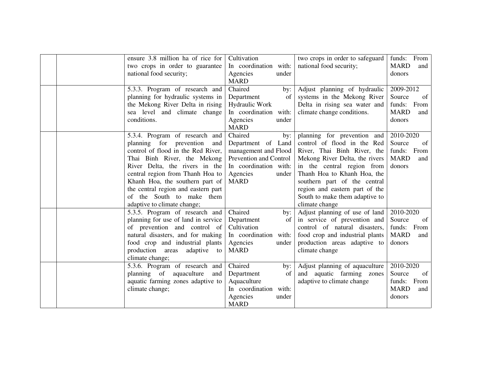|  | ensure 3.8 million ha of rice for   | Cultivation            | two crops in order to safeguard | funds: From        |
|--|-------------------------------------|------------------------|---------------------------------|--------------------|
|  | two crops in order to guarantee     | In coordination with:  | national food security;         | <b>MARD</b><br>and |
|  | national food security;             | Agencies<br>under      |                                 | donors             |
|  |                                     | <b>MARD</b>            |                                 |                    |
|  | 5.3.3. Program of research and      | Chaired<br>by:         | Adjust planning of hydraulic    | 2009-2012          |
|  | planning for hydraulic systems in   | Department<br>of       | systems in the Mekong River     | Source<br>of       |
|  | the Mekong River Delta in rising    | Hydraulic Work         | Delta in rising sea water and   | funds: From        |
|  | sea level and climate change        | In coordination with:  | climate change conditions.      | <b>MARD</b><br>and |
|  | conditions.                         | Agencies<br>under      |                                 | donors             |
|  |                                     | <b>MARD</b>            |                                 |                    |
|  | 5.3.4. Program of research and      | Chaired<br>by:         | planning for prevention and     | 2010-2020          |
|  | planning for<br>prevention<br>and   | Department of Land     | control of flood in the Red     | Source<br>of       |
|  | control of flood in the Red River,  | management and Flood   | River, Thai Binh River, the     | funds: From        |
|  | Thai Binh River, the Mekong         | Prevention and Control | Mekong River Delta, the rivers  | <b>MARD</b><br>and |
|  | River Delta, the rivers in the      | In coordination with:  | in the central region from      | donors             |
|  | central region from Thanh Hoa to    | Agencies<br>under      | Thanh Hoa to Khanh Hoa, the     |                    |
|  | Khanh Hoa, the southern part of     | <b>MARD</b>            | southern part of the central    |                    |
|  | the central region and eastern part |                        | region and eastern part of the  |                    |
|  | of the South to make them           |                        | South to make them adaptive to  |                    |
|  | adaptive to climate change;         |                        | climate change                  |                    |
|  | 5.3.5. Program of research and      | Chaired<br>by:         | Adjust planning of use of land  | 2010-2020          |
|  | planning for use of land in service | Department<br>of       | in service of prevention and    | Source<br>of       |
|  | of prevention and control of        | Cultivation            | control of natural disasters,   | funds: From        |
|  | natural disasters, and for making   | In coordination with:  | food crop and industrial plants | <b>MARD</b><br>and |
|  | food crop and industrial plants     | Agencies<br>under      | production areas adaptive to    | donors             |
|  | production areas<br>adaptive to     | <b>MARD</b>            | climate change                  |                    |
|  | climate change;                     |                        |                                 |                    |
|  | 5.3.6. Program of research and      | Chaired<br>by:         | Adjust planning of aquaculture  | 2010-2020          |
|  | planning of aquaculture<br>and      | Department<br>of       | and aquatic farming zones       | Source<br>of       |
|  | aquatic farming zones adaptive to   | Aquaculture            | adaptive to climate change      | funds: From        |
|  | climate change;                     | In coordination with:  |                                 | <b>MARD</b><br>and |
|  |                                     | Agencies<br>under      |                                 | donors             |
|  |                                     | <b>MARD</b>            |                                 |                    |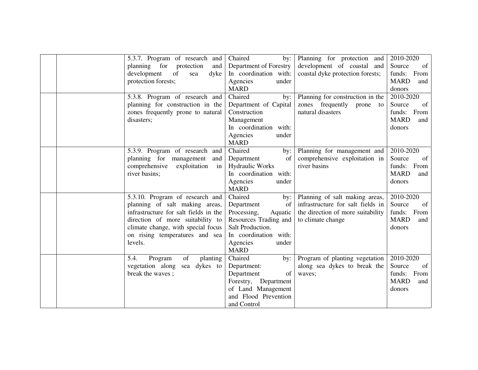|  | 5.3.7. Program of research and        | Chaired<br>by:         | Planning for protection and       | 2010-2020          |
|--|---------------------------------------|------------------------|-----------------------------------|--------------------|
|  | planning for protection<br>and        | Department of Forestry | development of coastal and        | of<br>Source       |
|  | development<br>of<br>dyke<br>sea      | In coordination with:  | coastal dyke protection forests;  | funds:<br>From     |
|  | protection forests;                   | Agencies<br>under      |                                   | <b>MARD</b><br>and |
|  |                                       | <b>MARD</b>            |                                   | donors             |
|  | 5.3.8. Program of research and        | Chaired<br>by:         | Planning for construction in the  | 2010-2020          |
|  | planning for construction in the      | Department of Capital  | zones frequently<br>prone<br>to   | of<br>Source       |
|  | zones frequently prone to natural     | Construction           | natural disasters                 | funds: From        |
|  | disasters;                            | Management             |                                   | <b>MARD</b><br>and |
|  |                                       | In coordination with:  |                                   | donors             |
|  |                                       | Agencies<br>under      |                                   |                    |
|  |                                       | <b>MARD</b>            |                                   |                    |
|  | 5.3.9. Program of research and        | Chaired<br>by:         | Planning for management and       | 2010-2020          |
|  | planning for management<br>and        | of<br>Department       | comprehensive exploitation in     | of<br>Source       |
|  | comprehensive<br>exploitation<br>in   | Hydraulic Works        | river basins                      | funds: From        |
|  | river basins;                         | In coordination with:  |                                   | <b>MARD</b><br>and |
|  |                                       | Agencies<br>under      |                                   | donors             |
|  |                                       | <b>MARD</b>            |                                   |                    |
|  | 5.3.10. Program of research and       | Chaired<br>by:         | Planning of salt making areas,    | 2010-2020          |
|  | planning of salt making areas,        | Department<br>of       | infrastructure for salt fields in | Source<br>of       |
|  | infrastructure for salt fields in the | Processing,<br>Aquatic | the direction of more suitability | funds: From        |
|  | direction of more suitability to      | Resources Trading and  | to climate change                 | <b>MARD</b><br>and |
|  | climate change, with special focus    | Salt Production.       |                                   | donors             |
|  | on rising temperatures and sea        | In coordination with:  |                                   |                    |
|  | levels.                               | Agencies<br>under      |                                   |                    |
|  |                                       | <b>MARD</b>            |                                   |                    |
|  | 5.4.<br>of<br>Program<br>planting     | Chaired<br>by:         | Program of planting vegetation    | 2010-2020          |
|  | vegetation along<br>sea dykes to      | Department:            | along sea dykes to break the      | Source<br>of       |
|  | break the waves;                      | Department<br>of       | waves;                            | funds: From        |
|  |                                       | Forestry, Department   |                                   | <b>MARD</b><br>and |
|  |                                       | of Land Management     |                                   | donors             |
|  |                                       | and Flood Prevention   |                                   |                    |
|  |                                       | and Control            |                                   |                    |